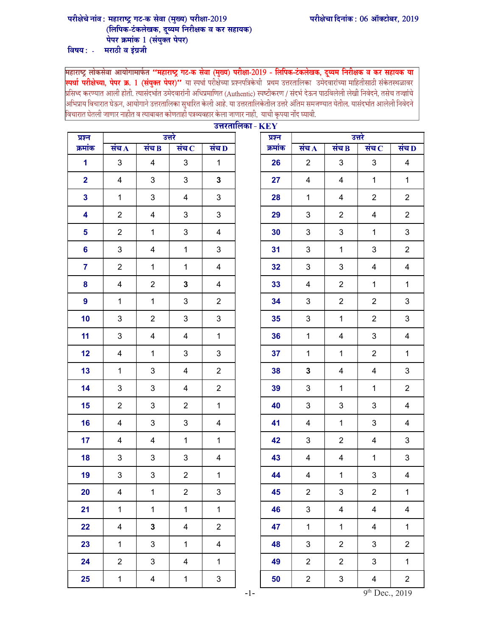## परीक्षेचा दिनांक: 06 ऑक्टोबर, 2019

## परीक्षेचे नांव : महाराष्ट्र गट-क सेवा (मुख्य) परीक्षा-2019<br>(लिपिक-टंकलेखक, दुय्यम निरीक्षक व कर सहायक) पेपर क्रमांक 1 (संयुक्त पेपर)

विषय $:$  -मराठी व इंग्रजी

<u>"महाराष्ट्र गट-क सेवा (मुख्य) परीक्षा</u> .<br>" या स्पर्धा परीक्षेच्या प्रश्नपत्रिकेची प्रथ |<br>|अभिप्राय विचारात घेऊन, आयोगाने उत्तरतालिका सुधारित केली आहे. या उत्तरतालिकेतील उत्तरे अंतिम समजण्यात येतील. यासंदर्भात आलेली निवेदने |<br>|विचारात घेतली जाणार नाहीत व त्याबाबत कोणताहो पत्रव्यवहार केला जाणार नाही, याची कृपया नोंद घ्यावी.

| प्रश्न                  | उत्तरताालका - $\mathbf{KEY}$<br>उत्तरे |                         |                |                         |  | प्रश्न  | उत्तरे         |                |                         |                |  |
|-------------------------|----------------------------------------|-------------------------|----------------|-------------------------|--|---------|----------------|----------------|-------------------------|----------------|--|
| क्रमांक                 | संच $\bf{A}$                           | संच $\bf{B}$            | संच $\,$ $\,$  | संच $\overline{D}$      |  | क्रमांक | संच $\bf{A}$   | संच $\bf{B}$   | संच $\,$ $\,$           | संच D          |  |
| $\mathbf{1}$            | 3                                      | 4                       | 3              | $\mathbf{1}$            |  | 26      | $\overline{2}$ | 3              | 3                       | $\overline{4}$ |  |
| $\overline{\mathbf{2}}$ | 4                                      | 3                       | 3              | 3                       |  | 27      | $\overline{4}$ | $\overline{4}$ | $\mathbf{1}$            | $\mathbf{1}$   |  |
| $\overline{\mathbf{3}}$ | $\mathbf{1}$                           | $\mathfrak{S}$          | $\overline{4}$ | 3                       |  | 28      | $\mathbf{1}$   | $\overline{4}$ | $\overline{2}$          | $\overline{2}$ |  |
| 4                       | $\overline{2}$                         | 4                       | 3              | 3                       |  | 29      | $\mathbf{3}$   | $\overline{2}$ | 4                       | $\overline{2}$ |  |
| 5                       | $\overline{2}$                         | $\mathbf{1}$            | 3              | 4                       |  | 30      | 3              | 3              | $\mathbf{1}$            | $\mathfrak{S}$ |  |
| $6\phantom{a}$          | 3                                      | 4                       | $\mathbf{1}$   | 3                       |  | 31      | 3              | $\mathbf{1}$   | 3                       | $\overline{2}$ |  |
| $\overline{7}$          | $\overline{2}$                         | $\mathbf{1}$            | $\mathbf 1$    | $\overline{\mathbf{4}}$ |  | 32      | $\mathbf{3}$   | 3              | $\overline{\mathbf{4}}$ | $\overline{4}$ |  |
| 8                       | $\overline{4}$                         | $\overline{2}$          | $\mathbf 3$    | $\overline{4}$          |  | 33      | 4              | $\overline{2}$ | $\mathbf{1}$            | $\mathbf{1}$   |  |
| 9                       | $\mathbf{1}$                           | $\mathbf{1}$            | 3              | $\overline{2}$          |  | 34      | $\mathbf{3}$   | $\overline{2}$ | $\overline{2}$          | 3              |  |
| 10                      | 3                                      | $\overline{2}$          | 3              | 3                       |  | 35      | 3              | $\mathbf{1}$   | $\overline{2}$          | 3              |  |
| 11                      | 3                                      | 4                       | 4              | $\mathbf{1}$            |  | 36      | $\mathbf{1}$   | $\overline{4}$ | 3                       | $\overline{4}$ |  |
| 12                      | 4                                      | $\mathbf{1}$            | 3              | 3                       |  | 37      | $\mathbf{1}$   | $\mathbf{1}$   | $\overline{2}$          | $\mathbf{1}$   |  |
| 13                      | $\mathbf{1}$                           | $\mathfrak{S}$          | $\overline{4}$ | $\overline{2}$          |  | 38      | $\mathbf{3}$   | 4              | $\overline{\mathbf{4}}$ | $\mathbf{3}$   |  |
| 14                      | 3                                      | 3                       | 4              | $\overline{2}$          |  | 39      | $\mathbf{3}$   | $\mathbf{1}$   | $\mathbf{1}$            | $\overline{2}$ |  |
| 15                      | $\overline{2}$                         | 3                       | $\overline{2}$ | $\mathbf{1}$            |  | 40      | $\mathbf{3}$   | 3              | 3                       | 4              |  |
| 16                      | 4                                      | $\mathfrak{S}$          | 3              | $\overline{\mathbf{4}}$ |  | 41      | $\overline{4}$ | $\mathbf{1}$   | 3                       | $\overline{4}$ |  |
| 17                      | 4                                      | 4                       | $\mathbf{1}$   | $\mathbf 1$             |  | 42      | $\mathbf{3}$   | $\overline{2}$ | $\overline{\mathbf{4}}$ | 3              |  |
| 18                      | 3                                      | $\mathfrak{S}$          | $\mathfrak{B}$ | $\overline{\mathbf{4}}$ |  | 43      | $\overline{4}$ | 4              | $\mathbf{1}$            | $\mathbf{3}$   |  |
| 19                      | 3                                      | 3                       | $\overline{2}$ | $\mathbf{1}$            |  | 44      | 4              | $\mathbf{1}$   | 3                       | 4              |  |
| 20                      | 4                                      | $\mathbf 1$             | $\overline{c}$ | 3                       |  | 45      | $\overline{c}$ | 3              | $\overline{c}$          | $\mathbf{1}$   |  |
| 21                      | $\mathbf{1}$                           | $\mathbf{1}$            | $\mathbf{1}$   | $\mathbf{1}$            |  | 46      | $\mathbf{3}$   | $\overline{4}$ | $\overline{\mathbf{4}}$ | $\overline{4}$ |  |
| 22                      | $\overline{4}$                         | $\mathbf 3$             | 4              | $\overline{2}$          |  | 47      | $\mathbf{1}$   | $\mathbf{1}$   | $\overline{\mathbf{4}}$ | $\mathbf{1}$   |  |
| 23                      | $\mathbf{1}$                           | 3                       | $\mathbf{1}$   | $\overline{\mathbf{4}}$ |  | 48      | $\mathbf{3}$   | $\overline{2}$ | $\mathbf{3}$            | $\overline{2}$ |  |
| 24                      | $\overline{2}$                         | $\mathfrak{S}$          | 4              | $\mathbf{1}$            |  | 49      | $\overline{c}$ | $\overline{2}$ | 3                       | $\mathbf{1}$   |  |
| 25                      | $\mathbf 1$                            | $\overline{\mathbf{4}}$ | $\mathbf 1$    | $\mathfrak{S}$          |  | 50      | $\overline{c}$ | 3              | $\overline{\mathbf{4}}$ | $\overline{c}$ |  |

| KEY     |                         |                         |                         |                         |  |  |  |  |
|---------|-------------------------|-------------------------|-------------------------|-------------------------|--|--|--|--|
| प्रश्न  | उत्तरे                  |                         |                         |                         |  |  |  |  |
| क्रमांक | संच $\overline{A}$      | संच $\overline{B}$      | संच $\overline{C}$      | संच D                   |  |  |  |  |
| 26      | $\mathbf{2}$            | 3                       | 3                       | $\overline{\mathbf{4}}$ |  |  |  |  |
| 27      | 4                       | $\overline{\mathbf{4}}$ | 1                       | 1                       |  |  |  |  |
| 28      | $\mathbf 1$             | 4                       | $\overline{\mathbf{c}}$ | $\overline{\mathbf{c}}$ |  |  |  |  |
| 29      | 3                       | $\overline{c}$          | 4                       | $\overline{c}$          |  |  |  |  |
| 30      | 3                       | 3                       | $\mathbf 1$             | 3                       |  |  |  |  |
| 31      | 3                       | $\overline{1}$          | 3                       | $\overline{2}$          |  |  |  |  |
| 32      | 3                       | 3                       | 4                       | 4                       |  |  |  |  |
| 33      | 4                       | 2                       | $\mathbf 1$             | 1                       |  |  |  |  |
| 34      | 3                       | $\overline{c}$          | $\boldsymbol{2}$        | 3                       |  |  |  |  |
| 35      | 3                       | $\mathbf 1$             | $\overline{\mathbf{c}}$ | 3                       |  |  |  |  |
| 36      | $\mathbf{1}$            | $\overline{\mathbf{4}}$ | 3                       | $\overline{\mathbf{4}}$ |  |  |  |  |
| 37      | 1                       | 1                       | $\overline{\mathbf{c}}$ | 1                       |  |  |  |  |
| 38      | 3                       | 4                       | 4                       | 3                       |  |  |  |  |
| 39      | 3                       | 1                       | $\mathbf 1$             | $\overline{2}$          |  |  |  |  |
| 40      | 3                       | 3                       | 3                       | 4                       |  |  |  |  |
| 41      | $\overline{\mathbf{4}}$ | $\overline{1}$          | 3                       | $\overline{\mathbf{4}}$ |  |  |  |  |
| 42      | 3                       | $\overline{c}$          | 4                       | 3                       |  |  |  |  |
| 43      | 4                       | 4                       | $\mathbf 1$             | 3                       |  |  |  |  |
| 44      | 4                       | 1                       | 3                       | 4                       |  |  |  |  |
| 45      | $\overline{\mathbf{c}}$ | 3                       | $\overline{\mathbf{c}}$ | 1                       |  |  |  |  |
| 46      | 3                       | $\overline{\mathbf{4}}$ | 4                       | $\overline{\mathbf{4}}$ |  |  |  |  |
| 47      | $\mathbf 1$             | 1                       | 4                       | $\mathbf 1$             |  |  |  |  |
| 48      | 3                       | 2                       | 3                       | $\overline{\mathbf{c}}$ |  |  |  |  |
| 49      | $\overline{\mathbf{c}}$ | $\overline{\mathbf{c}}$ | 3                       | $\mathbf 1$             |  |  |  |  |
| 50      | $\overline{\mathbf{c}}$ | 3                       | 4                       | $\overline{\mathbf{c}}$ |  |  |  |  |